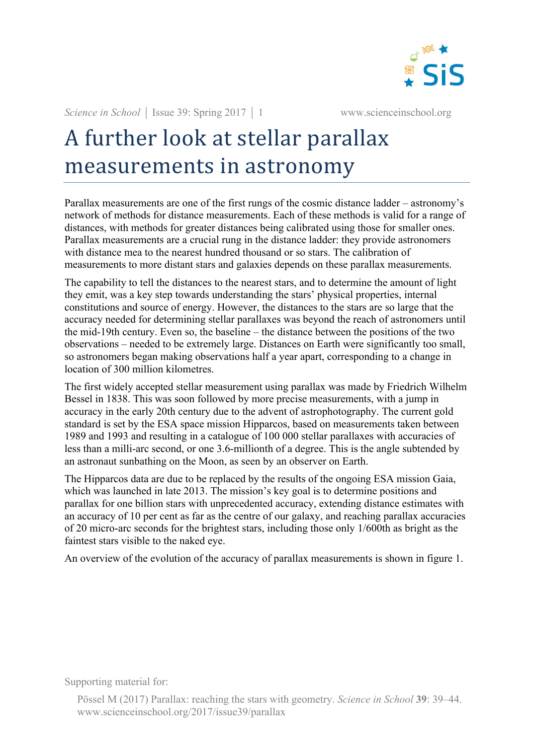

*Science in School* | Issue 39: Spring 2017 | 1 www.scienceinschool.org

## A further look at stellar parallax measurements in astronomy

Parallax measurements are one of the first rungs of the cosmic distance ladder – astronomy's network of methods for distance measurements. Each of these methods is valid for a range of distances, with methods for greater distances being calibrated using those for smaller ones. Parallax measurements are a crucial rung in the distance ladder: they provide astronomers with distance mea to the nearest hundred thousand or so stars. The calibration of measurements to more distant stars and galaxies depends on these parallax measurements.

The capability to tell the distances to the nearest stars, and to determine the amount of light they emit, was a key step towards understanding the stars' physical properties, internal constitutions and source of energy. However, the distances to the stars are so large that the accuracy needed for determining stellar parallaxes was beyond the reach of astronomers until the mid-19th century. Even so, the baseline – the distance between the positions of the two observations – needed to be extremely large. Distances on Earth were significantly too small, so astronomers began making observations half a year apart, corresponding to a change in location of 300 million kilometres.

The first widely accepted stellar measurement using parallax was made by Friedrich Wilhelm Bessel in 1838. This was soon followed by more precise measurements, with a jump in accuracy in the early 20th century due to the advent of astrophotography. The current gold standard is set by the ESA space mission Hipparcos, based on measurements taken between 1989 and 1993 and resulting in a catalogue of 100 000 stellar parallaxes with accuracies of less than a milli-arc second, or one 3.6-millionth of a degree. This is the angle subtended by an astronaut sunbathing on the Moon, as seen by an observer on Earth.

The Hipparcos data are due to be replaced by the results of the ongoing ESA mission Gaia, which was launched in late 2013. The mission's key goal is to determine positions and parallax for one billion stars with unprecedented accuracy, extending distance estimates with an accuracy of 10 per cent as far as the centre of our galaxy, and reaching parallax accuracies of 20 micro-arc seconds for the brightest stars, including those only 1/600th as bright as the faintest stars visible to the naked eye.

An overview of the evolution of the accuracy of parallax measurements is shown in figure 1.

Supporting material for:

Pössel M (2017) Parallax: reaching the stars with geometry. *Science in School* **39**: 39–44. www.scienceinschool.org/2017/issue39/parallax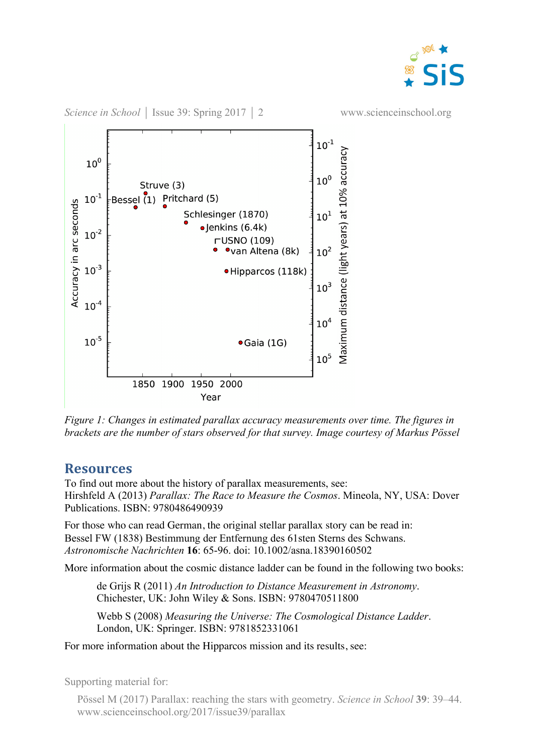



*Figure 1: Changes in estimated parallax accuracy measurements over time. The figures in brackets are the number of stars observed for that survey. Image courtesy of Markus Pössel*

## **Resources**

To find out more about the history of parallax measurements, see: Hirshfeld A (2013) *Parallax: The Race to Measure the Cosmos*. Mineola, NY, USA: Dover Publications. ISBN: 9780486490939

For those who can read German, the original stellar parallax story can be read in: Bessel FW (1838) Bestimmung der Entfernung des 61sten Sterns des Schwans. *Astronomische Nachrichten* **16**: 65-96. doi: 10.1002/asna.18390160502

More information about the cosmic distance ladder can be found in the following two books:

de Grijs R (2011) *An Introduction to Distance Measurement in Astronomy*. Chichester, UK: John Wiley & Sons. ISBN: 9780470511800

Webb S (2008) *Measuring the Universe: The Cosmological Distance Ladder*. London, UK: Springer. ISBN: 9781852331061

For more information about the Hipparcos mission and its results, see:

Supporting material for:

Pössel M (2017) Parallax: reaching the stars with geometry. *Science in School* **39**: 39–44. www.scienceinschool.org/2017/issue39/parallax